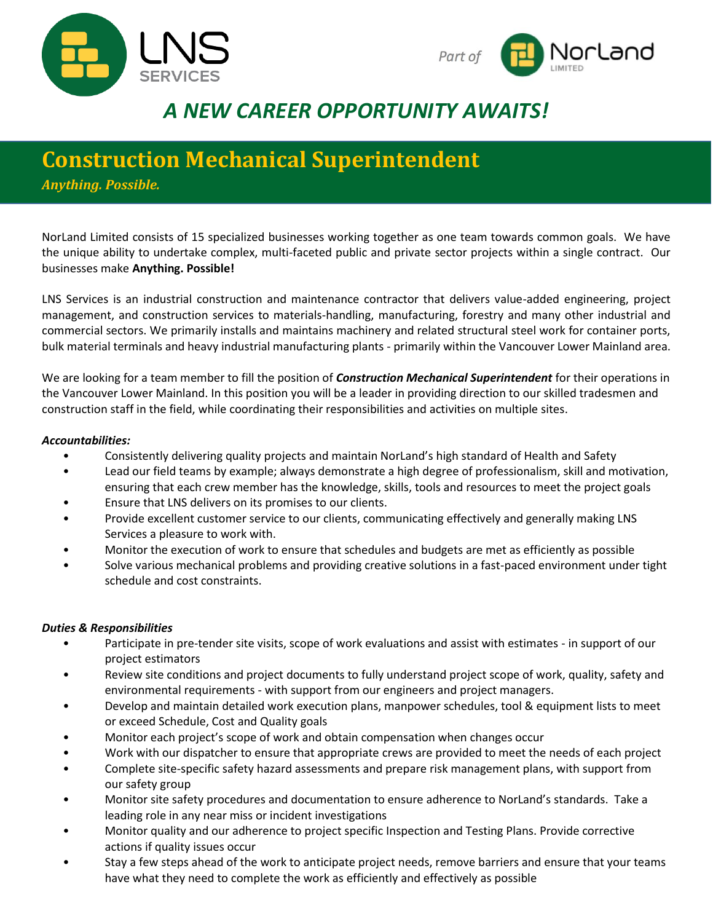



# *A NEW CAREER OPPORTUNITY AWAITS!*

## **Construction Mechanical Superintendent**

*Anything. Possible.*

NorLand Limited consists of 15 specialized businesses working together as one team towards common goals. We have the unique ability to undertake complex, multi-faceted public and private sector projects within a single contract. Our businesses make **Anything. Possible!**

LNS Services is an industrial construction and maintenance contractor that delivers value-added engineering, project management, and construction services to materials-handling, manufacturing, forestry and many other industrial and commercial sectors. We primarily installs and maintains machinery and related structural steel work for container ports, bulk material terminals and heavy industrial manufacturing plants - primarily within the Vancouver Lower Mainland area.

We are looking for a team member to fill the position of *Construction Mechanical Superintendent* for their operations in the Vancouver Lower Mainland. In this position you will be a leader in providing direction to our skilled tradesmen and construction staff in the field, while coordinating their responsibilities and activities on multiple sites.

#### *Accountabilities:*

- Consistently delivering quality projects and maintain NorLand's high standard of Health and Safety
- Lead our field teams by example; always demonstrate a high degree of professionalism, skill and motivation, ensuring that each crew member has the knowledge, skills, tools and resources to meet the project goals
- Ensure that LNS delivers on its promises to our clients.
- Provide excellent customer service to our clients, communicating effectively and generally making LNS Services a pleasure to work with.
- Monitor the execution of work to ensure that schedules and budgets are met as efficiently as possible
- Solve various mechanical problems and providing creative solutions in a fast-paced environment under tight schedule and cost constraints.

#### *Duties & Responsibilities*

- Participate in pre-tender site visits, scope of work evaluations and assist with estimates in support of our project estimators
- Review site conditions and project documents to fully understand project scope of work, quality, safety and environmental requirements - with support from our engineers and project managers.
- Develop and maintain detailed work execution plans, manpower schedules, tool & equipment lists to meet or exceed Schedule, Cost and Quality goals
- Monitor each project's scope of work and obtain compensation when changes occur
- Work with our dispatcher to ensure that appropriate crews are provided to meet the needs of each project
- Complete site-specific safety hazard assessments and prepare risk management plans, with support from our safety group
- Monitor site safety procedures and documentation to ensure adherence to NorLand's standards. Take a leading role in any near miss or incident investigations
- Monitor quality and our adherence to project specific Inspection and Testing Plans. Provide corrective actions if quality issues occur
- Stay a few steps ahead of the work to anticipate project needs, remove barriers and ensure that your teams have what they need to complete the work as efficiently and effectively as possible